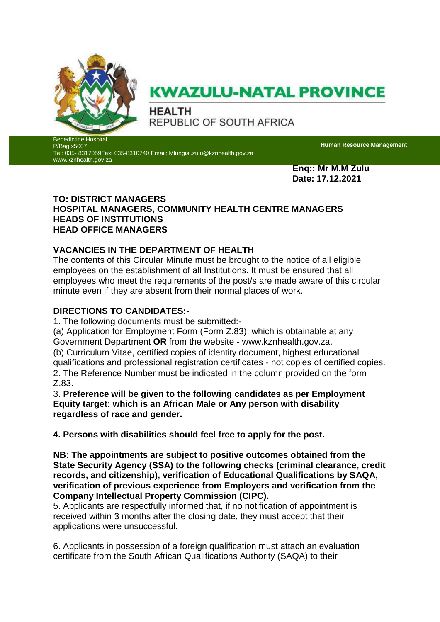

# **KWAZULU-NATAL PROVINCE**

**HEALTH** REPUBLIC OF SOUTH AFRICA

edictine Hospital P/Bag x5007 Tel: 035- 8317059Fax: 035-8310740 Email: Mlungisi.zulu@kznhealth.gov.za [www.kznhealth.gov.za](http://www.kznhealth.gov.za/)

**Human Resource Management**

**Enq:: Mr M.M Zulu Date: 17.12.2021**

## **TO: DISTRICT MANAGERS HOSPITAL MANAGERS, COMMUNITY HEALTH CENTRE MANAGERS HEADS OF INSTITUTIONS HEAD OFFICE MANAGERS**

# **VACANCIES IN THE DEPARTMENT OF HEALTH**

The contents of this Circular Minute must be brought to the notice of all eligible employees on the establishment of all Institutions. It must be ensured that all employees who meet the requirements of the post/s are made aware of this circular minute even if they are absent from their normal places of work.

## **DIRECTIONS TO CANDIDATES:-**

1. The following documents must be submitted:-

(a) Application for Employment Form (Form Z.83), which is obtainable at any Government Department **OR** from the website - www.kznhealth.gov.za.

(b) Curriculum Vitae, certified copies of identity document, highest educational qualifications and professional registration certificates - not copies of certified copies. 2. The Reference Number must be indicated in the column provided on the form Z.83.

3. **Preference will be given to the following candidates as per Employment Equity target: which is an African Male or Any person with disability regardless of race and gender.** 

**4. Persons with disabilities should feel free to apply for the post.** 

**NB: The appointments are subject to positive outcomes obtained from the State Security Agency (SSA) to the following checks (criminal clearance, credit records, and citizenship), verification of Educational Qualifications by SAQA, verification of previous experience from Employers and verification from the Company Intellectual Property Commission (CIPC).** 

5. Applicants are respectfully informed that, if no notification of appointment is received within 3 months after the closing date, they must accept that their applications were unsuccessful.

6. Applicants in possession of a foreign qualification must attach an evaluation certificate from the South African Qualifications Authority (SAQA) to their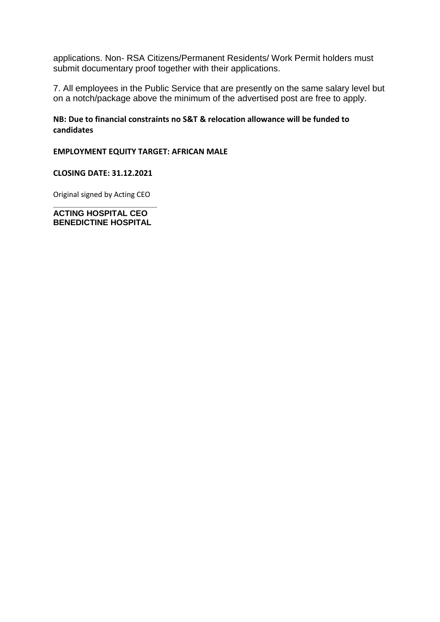applications. Non- RSA Citizens/Permanent Residents/ Work Permit holders must submit documentary proof together with their applications.

7. All employees in the Public Service that are presently on the same salary level but on a notch/package above the minimum of the advertised post are free to apply.

## **NB: Due to financial constraints no S&T & relocation allowance will be funded to candidates**

#### **EMPLOYMENT EQUITY TARGET: AFRICAN MALE**

#### **CLOSING DATE: 31.12.2021**

Original signed by Acting CEO **\_\_\_\_\_\_\_\_\_\_\_\_\_\_\_\_\_\_\_\_\_\_\_**

**ACTING HOSPITAL CEO BENEDICTINE HOSPITAL**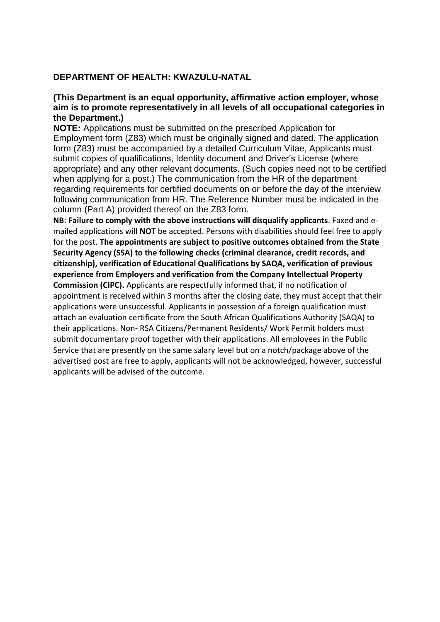#### **DEPARTMENT OF HEALTH: KWAZULU-NATAL**

### **(This Department is an equal opportunity, affirmative action employer, whose aim is to promote representatively in all levels of all occupational categories in the Department.)**

**NOTE:** Applications must be submitted on the prescribed Application for Employment form (Z83) which must be originally signed and dated. The application form (Z83) must be accompanied by a detailed Curriculum Vitae, Applicants must submit copies of qualifications, Identity document and Driver's License (where appropriate) and any other relevant documents. (Such copies need not to be certified when applying for a post.) The communication from the HR of the department regarding requirements for certified documents on or before the day of the interview following communication from HR. The Reference Number must be indicated in the column (Part A) provided thereof on the Z83 form.

**NB**: **Failure to comply with the above instructions will disqualify applicants**. Faxed and emailed applications will **NOT** be accepted. Persons with disabilities should feel free to apply for the post. **The appointments are subject to positive outcomes obtained from the State Security Agency (SSA) to the following checks (criminal clearance, credit records, and citizenship), verification of Educational Qualifications by SAQA, verification of previous experience from Employers and verification from the Company Intellectual Property Commission (CIPC).** Applicants are respectfully informed that, if no notification of appointment is received within 3 months after the closing date, they must accept that their applications were unsuccessful. Applicants in possession of a foreign qualification must attach an evaluation certificate from the South African Qualifications Authority (SAQA) to their applications. Non- RSA Citizens/Permanent Residents/ Work Permit holders must submit documentary proof together with their applications. All employees in the Public Service that are presently on the same salary level but on a notch/package above of the advertised post are free to apply, applicants will not be acknowledged, however, successful applicants will be advised of the outcome.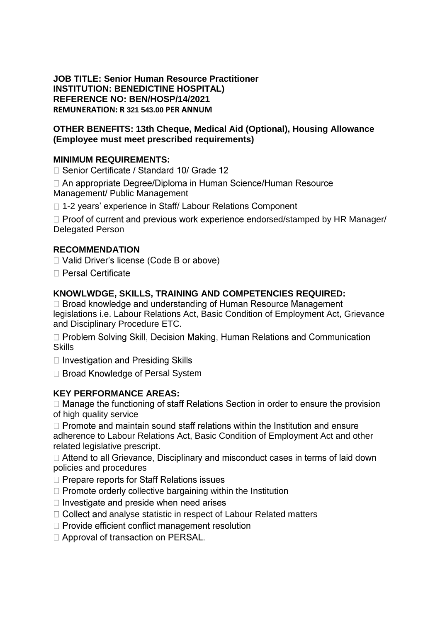**JOB TITLE: Senior Human Resource Practitioner INSTITUTION: BENEDICTINE HOSPITAL) REFERENCE NO: BEN/HOSP/14/2021 REMUNERATION: R 321 543.00 PER ANNUM** 

## **OTHER BENEFITS: 13th Cheque, Medical Aid (Optional), Housing Allowance (Employee must meet prescribed requirements)**

## **MINIMUM REQUIREMENTS:**

□ Senior Certificate / Standard 10/ Grade 12

□ An appropriate Degree/Diploma in Human Science/Human Resource Management/ Public Management

□ 1-2 years' experience in Staff/ Labour Relations Component

 $\Box$  Proof of current and previous work experience endorsed/stamped by HR Manager/ Delegated Person

## **RECOMMENDATION**

□ Valid Driver's license (Code B or above)

 $\Box$  Persal Certificate

## **KNOWLWDGE, SKILLS, TRAINING AND COMPETENCIES REQUIRED:**

□ Broad knowledge and understanding of Human Resource Management legislations i.e. Labour Relations Act, Basic Condition of Employment Act, Grievance and Disciplinary Procedure ETC.

□ Problem Solving Skill, Decision Making, Human Relations and Communication **Skills** 

□ Investigation and Presiding Skills

 $\Box$  Broad Knowledge of Persal System

## **KEY PERFORMANCE AREAS:**

 $\Box$  Manage the functioning of staff Relations Section in order to ensure the provision of high quality service

 $\Box$  Promote and maintain sound staff relations within the Institution and ensure adherence to Labour Relations Act, Basic Condition of Employment Act and other related legislative prescript.

□ Attend to all Grievance, Disciplinary and misconduct cases in terms of laid down policies and procedures

- $\Box$  Prepare reports for Staff Relations issues
- $\Box$  Promote orderly collective bargaining within the Institution

 $\Box$  Investigate and preside when need arises

- $\Box$  Collect and analyse statistic in respect of Labour Related matters
- $\Box$  Provide efficient conflict management resolution

□ Approval of transaction on PERSAL.